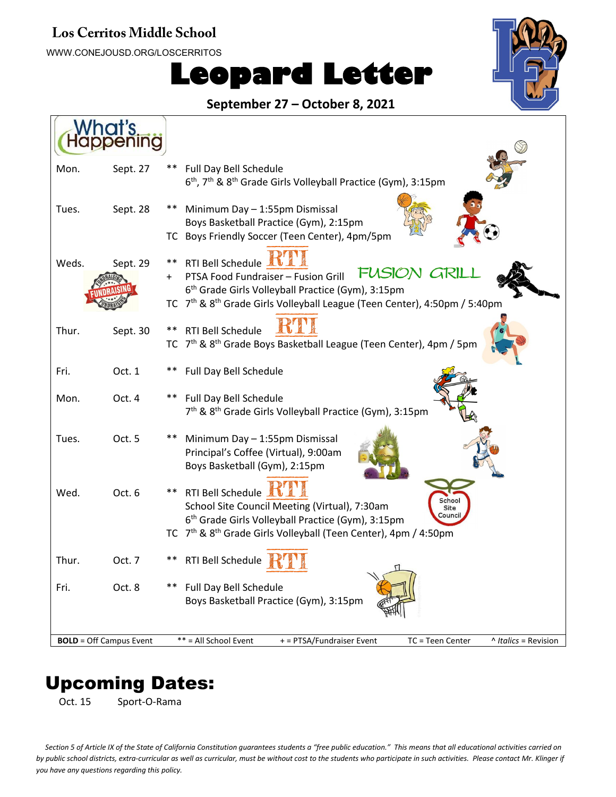#### **Los Cerritos Middle School**

WWW.CONEJOUSD.ORG/LOSCERRITOS

# **Leopard Letter**



#### **September 27 – October 8, 2021**

| <b>Vhat's</b>                  |                                                                                                                                                                                                                                                            |
|--------------------------------|------------------------------------------------------------------------------------------------------------------------------------------------------------------------------------------------------------------------------------------------------------|
| Sept. 27<br>Mon.               | **<br>Full Day Bell Schedule<br>6 <sup>th</sup> , 7 <sup>th</sup> & 8 <sup>th</sup> Grade Girls Volleyball Practice (Gym), 3:15pm                                                                                                                          |
| Tues.<br>Sept. 28              | Minimum Day - 1:55pm Dismissal<br>Boys Basketball Practice (Gym), 2:15pm<br>TC Boys Friendly Soccer (Teen Center), 4pm/5pm                                                                                                                                 |
| Weds.<br>Sept. 29              | <b>RTI Bell Schedule</b><br>**<br>FUSION GRIL<br>PTSA Food Fundraiser - Fusion Grill<br>6 <sup>th</sup> Grade Girls Volleyball Practice (Gym), 3:15pm<br>TC 7 <sup>th</sup> & 8 <sup>th</sup> Grade Girls Volleyball League (Teen Center), 4:50pm / 5:40pm |
| Thur.<br>Sept. 30              | <b>RTI Bell Schedule</b><br>**<br>TC 7 <sup>th</sup> & 8 <sup>th</sup> Grade Boys Basketball League (Teen Center), 4pm / 5pm                                                                                                                               |
| Fri.<br>Oct. 1                 | Full Day Bell Schedule                                                                                                                                                                                                                                     |
| Mon.<br>Oct. 4                 | **<br>Full Day Bell Schedule<br>7 <sup>th</sup> & 8 <sup>th</sup> Grade Girls Volleyball Practice (Gym), 3:15pm                                                                                                                                            |
| Oct. 5<br>Tues.                | Minimum Day - 1:55pm Dismissal<br>Principal's Coffee (Virtual), 9:00am<br>Boys Basketball (Gym), 2:15pm                                                                                                                                                    |
| Wed.<br>Oct. 6                 | RTI Bell Schedule<br>School<br>School Site Council Meeting (Virtual), 7:30am<br>Site<br>Council<br>6 <sup>th</sup> Grade Girls Volleyball Practice (Gym), 3:15pm                                                                                           |
| Thur.<br>Oct. 7                | TC 7 <sup>th</sup> & 8 <sup>th</sup> Grade Girls Volleyball (Teen Center), 4pm / 4:50pm<br>RTI Bell Schedule                                                                                                                                               |
| Fri.<br>Oct. 8                 | Full Day Bell Schedule<br>Boys Basketball Practice (Gym), 3:15pm                                                                                                                                                                                           |
| <b>BOLD</b> = Off Campus Event | ** = All School Event<br>+ = PTSA/Fundraiser Event<br>TC = Teen Center<br>^ Italics = Revision                                                                                                                                                             |

# Upcoming Dates:

Oct. 15 Sport-O-Rama

*Section 5 of Article IX of the State of California Constitution guarantees students a "free public education." This means that all educational activities carried on by public school districts, extra-curricular as well as curricular, must be without cost to the students who participate in such activities. Please contact Mr. Klinger if you have any questions regarding this policy.*